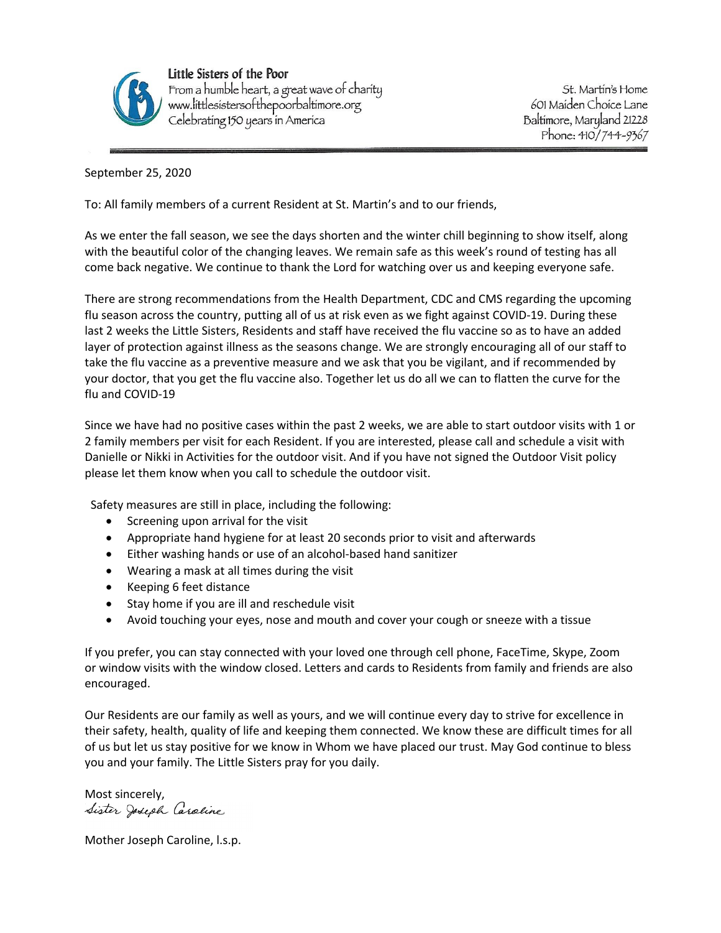

Little Sisters of the Poor From a humble heart, a great wave of charity www.littlesistersofthepoorbaltimore.org Celebrating 150 years in America

St. Martin's Home 601 Maiden Choice Lane Baltimore, Maryland 21228 Phone: 410/744-9367

September 25, 2020

To: All family members of a current Resident at St. Martin's and to our friends,

As we enter the fall season, we see the days shorten and the winter chill beginning to show itself, along with the beautiful color of the changing leaves. We remain safe as this week's round of testing has all come back negative. We continue to thank the Lord for watching over us and keeping everyone safe.

There are strong recommendations from the Health Department, CDC and CMS regarding the upcoming flu season across the country, putting all of us at risk even as we fight against COVID-19. During these last 2 weeks the Little Sisters, Residents and staff have received the flu vaccine so as to have an added layer of protection against illness as the seasons change. We are strongly encouraging all of our staff to take the flu vaccine as a preventive measure and we ask that you be vigilant, and if recommended by your doctor, that you get the flu vaccine also. Together let us do all we can to flatten the curve for the flu and COVID-19

Since we have had no positive cases within the past 2 weeks, we are able to start outdoor visits with 1 or 2 family members per visit for each Resident. If you are interested, please call and schedule a visit with Danielle or Nikki in Activities for the outdoor visit. And if you have not signed the Outdoor Visit policy please let them know when you call to schedule the outdoor visit.

Safety measures are still in place, including the following:

- Screening upon arrival for the visit
- Appropriate hand hygiene for at least 20 seconds prior to visit and afterwards
- Either washing hands or use of an alcohol-based hand sanitizer
- Wearing a mask at all times during the visit
- Keeping 6 feet distance
- Stay home if you are ill and reschedule visit
- Avoid touching your eyes, nose and mouth and cover your cough or sneeze with a tissue

If you prefer, you can stay connected with your loved one through cell phone, FaceTime, Skype, Zoom or window visits with the window closed. Letters and cards to Residents from family and friends are also encouraged.

Our Residents are our family as well as yours, and we will continue every day to strive for excellence in their safety, health, quality of life and keeping them connected. We know these are difficult times for all of us but let us stay positive for we know in Whom we have placed our trust. May God continue to bless you and your family. The Little Sisters pray for you daily.

Most sincerely, Sister Joseph Caraline

Mother Joseph Caroline, l.s.p.